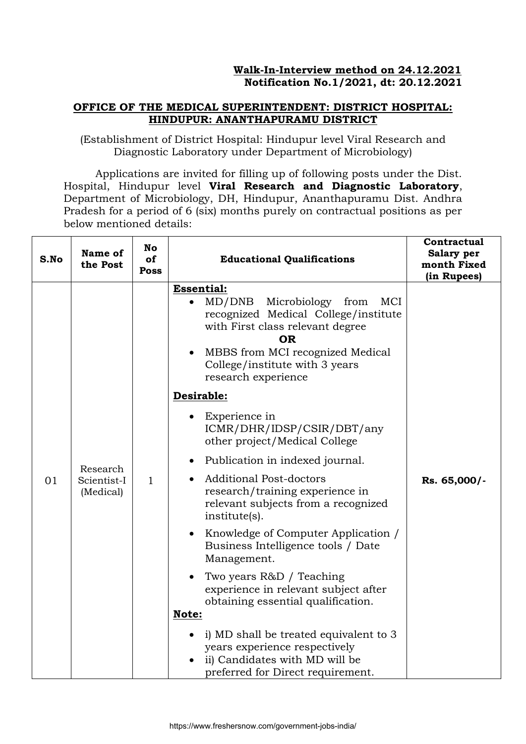### **OFFICE OF THE MEDICAL SUPERINTENDENT: DISTRICT HOSPITAL: HINDUPUR: ANANTHAPURAMU DISTRICT**

(Establishment of District Hospital: Hindupur level Viral Research and Diagnostic Laboratory under Department of Microbiology)

Applications are invited for filling up of following posts under the Dist. Hospital, Hindupur level **Viral Research and Diagnostic Laboratory**, Department of Microbiology, DH, Hindupur, Ananthapuramu Dist. Andhra Pradesh for a period of 6 (six) months purely on contractual positions as per below mentioned details:

| S.No | Name of<br>the Post                  | <b>No</b><br>of<br><b>Poss</b> | <b>Educational Qualifications</b>                                                                                                                                                                                                                                                                                                                                                                                                                                                                                                                                                                                                                                                                                                                                                                                                                                                                                             | Contractual<br>Salary per<br>month Fixed<br>(in Rupees) |
|------|--------------------------------------|--------------------------------|-------------------------------------------------------------------------------------------------------------------------------------------------------------------------------------------------------------------------------------------------------------------------------------------------------------------------------------------------------------------------------------------------------------------------------------------------------------------------------------------------------------------------------------------------------------------------------------------------------------------------------------------------------------------------------------------------------------------------------------------------------------------------------------------------------------------------------------------------------------------------------------------------------------------------------|---------------------------------------------------------|
| 01   | Research<br>Scientist-I<br>(Medical) | $\mathbf{1}$                   | <b>Essential:</b><br>MD/DNB Microbiology from<br>MCI<br>recognized Medical College/institute<br>with First class relevant degree<br><b>OR</b><br>MBBS from MCI recognized Medical<br>$\bullet$<br>College/institute with 3 years<br>research experience<br>Desirable:<br>Experience in<br>ICMR/DHR/IDSP/CSIR/DBT/any<br>other project/Medical College<br>Publication in indexed journal.<br>$\bullet$<br><b>Additional Post-doctors</b><br>research/training experience in<br>relevant subjects from a recognized<br>institute(s).<br>Knowledge of Computer Application /<br>$\bullet$<br>Business Intelligence tools / Date<br>Management.<br>Two years R&D / Teaching<br>$\bullet$<br>experience in relevant subject after<br>obtaining essential qualification.<br>Note:<br>i) MD shall be treated equivalent to 3<br>years experience respectively<br>ii) Candidates with MD will be<br>preferred for Direct requirement. | Rs. 65,000/-                                            |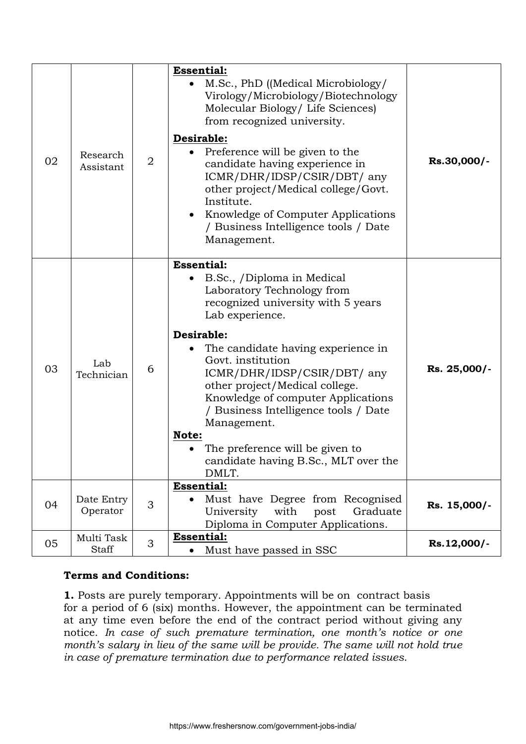| 02 | Research<br>Assistant      | $\overline{2}$ | <b>Essential:</b><br>M.Sc., PhD ((Medical Microbiology/<br>Virology/Microbiology/Biotechnology<br>Molecular Biology/ Life Sciences)<br>from recognized university.<br>Desirable:<br>Preference will be given to the<br>candidate having experience in<br>ICMR/DHR/IDSP/CSIR/DBT/ any<br>other project/Medical college/Govt.<br>Institute.<br>• Knowledge of Computer Applications<br>/ Business Intelligence tools / Date<br>Management.                                   | Rs.30,000/-  |
|----|----------------------------|----------------|----------------------------------------------------------------------------------------------------------------------------------------------------------------------------------------------------------------------------------------------------------------------------------------------------------------------------------------------------------------------------------------------------------------------------------------------------------------------------|--------------|
| 03 | Lab<br>Technician          | 6              | <b>Essential:</b><br>B.Sc., /Diploma in Medical<br>Laboratory Technology from<br>recognized university with 5 years<br>Lab experience.<br>Desirable:<br>The candidate having experience in<br>Govt. institution<br>ICMR/DHR/IDSP/CSIR/DBT/ any<br>other project/Medical college.<br>Knowledge of computer Applications<br>/ Business Intelligence tools / Date<br>Management.<br>Note:<br>The preference will be given to<br>candidate having B.Sc., MLT over the<br>DMLT. | Rs. 25,000/- |
| 04 | Date Entry<br>Operator     | 3              | <b>Essential:</b><br>Must have Degree from Recognised<br>$\bullet$<br>with<br>University<br>Graduate<br>post<br>Diploma in Computer Applications.                                                                                                                                                                                                                                                                                                                          | Rs. 15,000/- |
| 05 | Multi Task<br><b>Staff</b> | 3              | <b>Essential:</b><br>Must have passed in SSC<br>$\bullet$                                                                                                                                                                                                                                                                                                                                                                                                                  | Rs.12,000/-  |

# **Terms and Conditions:**

**1.** Posts are purely temporary. Appointments will be on contract basis for a period of 6 (six) months. However, the appointment can be terminated at any time even before the end of the contract period without giving any notice. *In case of such premature termination, one month's notice or one month's salary in lieu of the same will be provide. The same will not hold true in case of premature termination due to performance related issues*.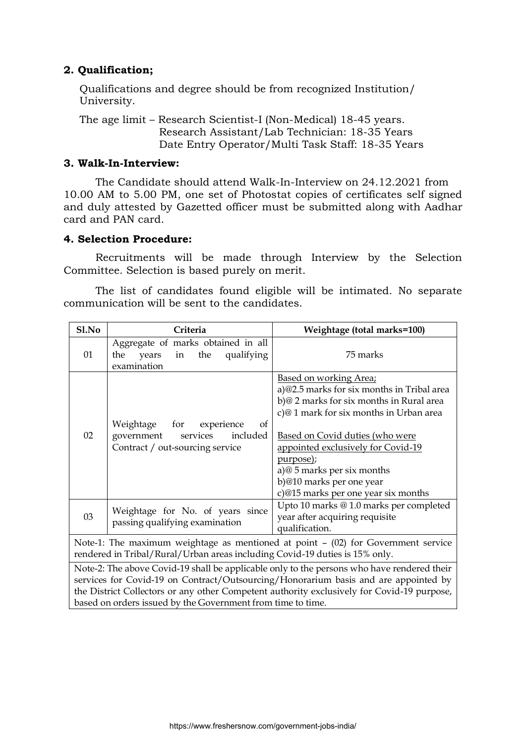# **2. Qualification;**

Qualifications and degree should be from recognized Institution/ University.

The age limit – Research Scientist-I (Non-Medical) 18-45 years. Research Assistant/Lab Technician: 18-35 Years Date Entry Operator/Multi Task Staff: 18-35 Years

### **3. Walk-In-Interview:**

The Candidate should attend Walk-In-Interview on 24.12.2021 from 10.00 AM to 5.00 PM, one set of Photostat copies of certificates self signed and duly attested by Gazetted officer must be submitted along with Aadhar card and PAN card.

### **4. Selection Procedure:**

Recruitments will be made through Interview by the Selection Committee. Selection is based purely on merit.

The list of candidates found eligible will be intimated. No separate communication will be sent to the candidates.

| S1.No                                                                                                                                                              | Criteria                                                                                                                                                          | Weightage (total marks=100)                                                                                                                                                                                                                                                                                                                       |  |  |
|--------------------------------------------------------------------------------------------------------------------------------------------------------------------|-------------------------------------------------------------------------------------------------------------------------------------------------------------------|---------------------------------------------------------------------------------------------------------------------------------------------------------------------------------------------------------------------------------------------------------------------------------------------------------------------------------------------------|--|--|
| 01                                                                                                                                                                 | Aggregate of marks obtained in all<br>qualifying<br>the<br>years<br>in the<br>examination                                                                         | 75 marks                                                                                                                                                                                                                                                                                                                                          |  |  |
| 02                                                                                                                                                                 | Weightage for experience<br>of<br>included<br>government<br>services<br>Contract / out-sourcing service                                                           | Based on working Area;<br>a)@2.5 marks for six months in Tribal area<br>b)@ 2 marks for six months in Rural area<br>c)@1 mark for six months in Urban area<br>Based on Covid duties (who were<br>appointed exclusively for Covid-19<br>purpose);<br>a)@ 5 marks per six months<br>b)@10 marks per one year<br>c)@15 marks per one year six months |  |  |
| 03                                                                                                                                                                 | Upto 10 marks @ 1.0 marks per completed<br>Weightage for No. of years since<br>year after acquiring requisite<br>passing qualifying examination<br>qualification. |                                                                                                                                                                                                                                                                                                                                                   |  |  |
| Note-1: The maximum weightage as mentioned at point $-$ (02) for Government service<br>rendered in Tribal/Rural/Urban areas including Covid-19 duties is 15% only. |                                                                                                                                                                   |                                                                                                                                                                                                                                                                                                                                                   |  |  |
|                                                                                                                                                                    | based on orders issued by the Government from time to time.                                                                                                       | Note-2: The above Covid-19 shall be applicable only to the persons who have rendered their<br>services for Covid-19 on Contract/Outsourcing/Honorarium basis and are appointed by<br>the District Collectors or any other Competent authority exclusively for Covid-19 purpose,                                                                   |  |  |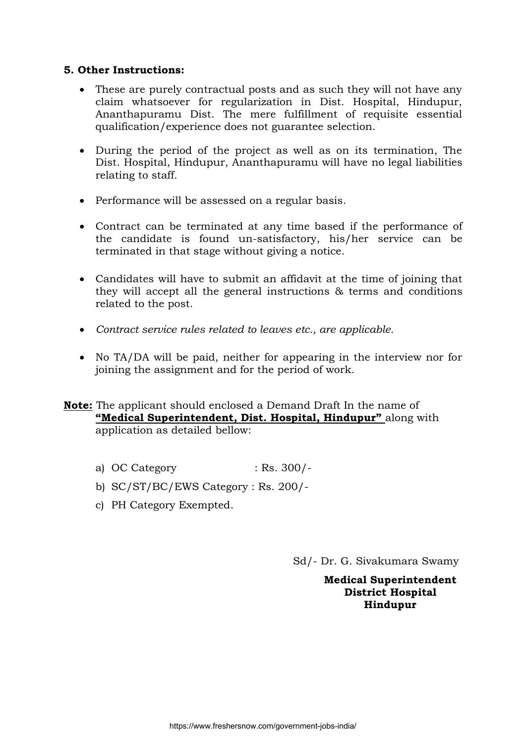# **5. Other Instructions:**

- These are purely contractual posts and as such they will not have any claim whatsoever for regularization in Dist. Hospital, Hindupur, Ananthapuramu Dist. The mere fulfillment of requisite essential qualification/experience does not guarantee selection.
- During the period of the project as well as on its termination, The Dist. Hospital, Hindupur, Ananthapuramu will have no legal liabilities relating to staff.
- Performance will be assessed on a regular basis.
- Contract can be terminated at any time based if the performance of the candidate is found un-satisfactory, his/her service can be terminated in that stage without giving a notice.
- Candidates will have to submit an affidavit at the time of joining that they will accept all the general instructions & terms and conditions related to the post.
- *Contract service rules related to leaves etc., are applicable.*
- No TA/DA will be paid, neither for appearing in the interview nor for joining the assignment and for the period of work.

# **Note:** The applicant should enclosed a Demand Draft In the name of **"Medical Superintendent, Dist. Hospital, Hindupur"** along with application as detailed bellow:

- a) OC Category : Rs. 300/-
- b) SC/ST/BC/EWS Category : Rs. 200/-
- c) PH Category Exempted.

Sd/- Dr. G. Sivakumara Swamy

#### **Medical Superintendent District Hospital Hindupur**